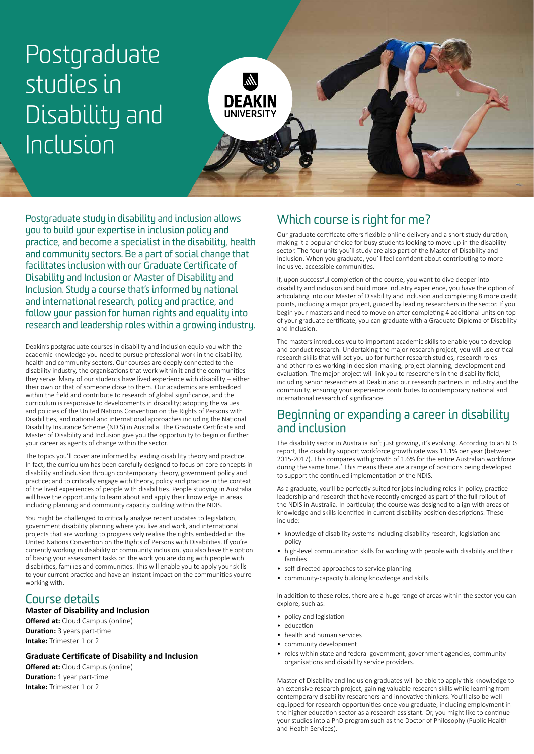# Postgraduate studies in Disability and Inclusion



Postgraduate study in disability and inclusion allows you to build your expertise in inclusion policy and practice, and become a specialist in the disability, health and community sectors. Be a part of social change that facilitates inclusion with our Graduate Certificate of Disability and Inclusion or Master of Disability and Inclusion. Study a course that's informed by national and international research, policy and practice, and follow your passion for human rights and equality into research and leadership roles within a growing industry.

Deakin's postgraduate courses in disability and inclusion equip you with the academic knowledge you need to pursue professional work in the disability, health and community sectors. Our courses are deeply connected to the disability industry, the organisations that work within it and the communities they serve. Many of our students have lived experience with disability – either their own or that of someone close to them. Our academics are embedded within the field and contribute to research of global significance, and the curriculum is responsive to developments in disability; adopting the values and policies of the United Nations Convention on the Rights of Persons with Disabilities, and national and international approaches including the National Disability Insurance Scheme (NDIS) in Australia. The Graduate Certificate and Master of Disability and Inclusion give you the opportunity to begin or further your career as agents of change within the sector.

The topics you'll cover are informed by leading disability theory and practice. In fact, the curriculum has been carefully designed to focus on core concepts in disability and inclusion through contemporary theory, government policy and practice; and to critically engage with theory, policy and practice in the context of the lived experiences of people with disabilities. People studying in Australia will have the opportunity to learn about and apply their knowledge in areas including planning and community capacity building within the NDIS.

You might be challenged to critically analyse recent updates to legislation, government disability planning where you live and work, and international projects that are working to progressively realise the rights embedded in the United Nations Convention on the Rights of Persons with Disabilities. If you're currently working in disability or community inclusion, you also have the option of basing your assessment tasks on the work you are doing with people with disabilities, families and communities. This will enable you to apply your skills to your current practice and have an instant impact on the communities you're working with.

## Course details

#### **Master of Disability and Inclusion**

**Offered at:** Cloud Campus (online) **Duration:** 3 years part-time **Intake:** Trimester 1 or 2

#### **Graduate Certificate of Disability and Inclusion**

**Offered at:** Cloud Campus (online) **Duration:** 1 year part-time **Intake:** Trimester 1 or 2

## Which course is right for me?

Our graduate certificate offers flexible online delivery and a short study duration, making it a popular choice for busy students looking to move up in the disability sector. The four units you'll study are also part of the Master of Disability and Inclusion. When you graduate, you'll feel confident about contributing to more inclusive, accessible communities.

If, upon successful completion of the course, you want to dive deeper into disability and inclusion and build more industry experience, you have the option of articulating into our Master of Disability and inclusion and completing 8 more credit points, including a major project, guided by leading researchers in the sector. If you begin your masters and need to move on after completing 4 additional units on top of your graduate certificate, you can graduate with a Graduate Diploma of Disability and Inclusion.

The masters introduces you to important academic skills to enable you to develop and conduct research. Undertaking the major research project, you will use critical research skills that will set you up for further research studies, research roles and other roles working in decision-making, project planning, development and evaluation. The major project will link you to researchers in the disability field, including senior researchers at Deakin and our research partners in industry and the community, ensuring your experience contributes to contemporary national and international research of significance.

#### Beginning or expanding a career in disability and inclusion

The disability sector in Australia isn't just growing, it's evolving. According to an NDS report, the disability support workforce growth rate was 11.1% per year (between 2015-2017). This compares with growth of 1.6% for the entire Australian workforce during the same time.<sup>\*</sup> This means there are a range of positions being developed to support the continued implementation of the NDIS.

As a graduate, you'll be perfectly suited for jobs including roles in policy, practice leadership and research that have recently emerged as part of the full rollout of the NDIS in Australia. In particular, the course was designed to align with areas of knowledge and skills identified in current disability position descriptions. These include:

- knowledge of disability systems including disability research, legislation and policy
- high-level communication skills for working with people with disability and their families
- self-directed approaches to service planning
- community-capacity building knowledge and skills.

In addition to these roles, there are a huge range of areas within the sector you can explore, such as:

- policy and legislation
- education
- health and human services
- community development
- roles within state and federal government, government agencies, community organisations and disability service providers.

Master of Disability and Inclusion graduates will be able to apply this knowledge to an extensive research project, gaining valuable research skills while learning from contemporary disability researchers and innovative thinkers. You'll also be wellequipped for research opportunities once you graduate, including employment in the higher education sector as a research assistant. Or, you might like to continue your studies into a PhD program such as the Doctor of Philosophy (Public Health and Health Services).